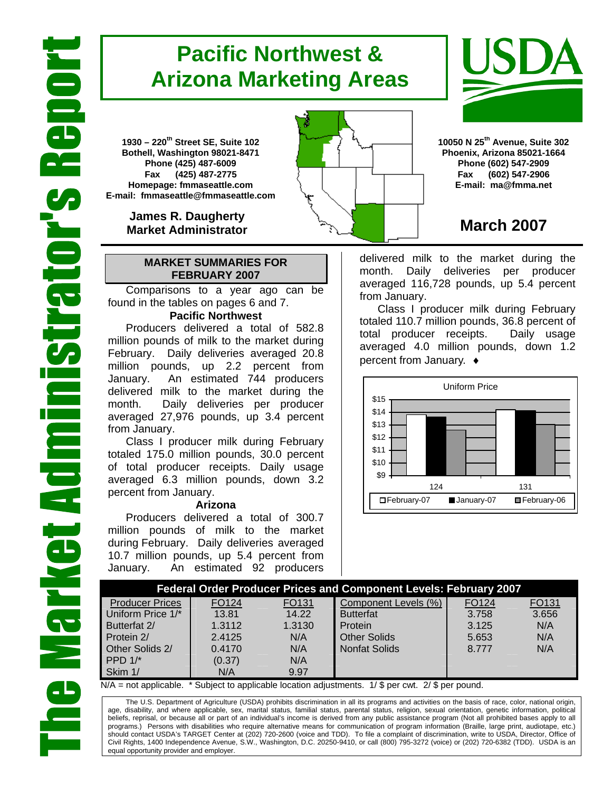# **Pacific Northwest & Arizona Marketing Areas**

**1930 – 220th Street SE, Suite 102 Bothell, Washington 98021-8471 Phone (425) 487-6009 Fax (425) 487-2775 Homepage: fmmaseattle.com E-mail: fmmaseattle@fmmaseattle.com**

> **James R. Daugherty Market Administrator**

#### **MARKET SUMMARIES FOR FEBRUARY 2007**

 Comparisons to a year ago can be found in the tables on pages 6 and 7.

### **Pacific Northwest**

Producers delivered a total of 582.8 million pounds of milk to the market during February. Daily deliveries averaged 20.8 million pounds, up 2.2 percent from January. An estimated 744 producers delivered milk to the market during the month. Daily deliveries per producer averaged 27,976 pounds, up 3.4 percent from January.

Class I producer milk during February totaled 175.0 million pounds, 30.0 percent of total producer receipts. Daily usage averaged 6.3 million pounds, down 3.2 percent from January.

#### **Arizona**

Producers delivered a total of 300.7 million pounds of milk to the market during February. Daily deliveries averaged 10.7 million pounds, up 5.4 percent from January. An estimated 92 producers





**10050 N 25th Avenue, Suite 302 Phoenix, Arizona 85021-1664 Phone (602) 547-2909 Fax (602) 547-2906 E-mail: ma@fmma.net**

## **March 2007**

delivered milk to the market during the month. Daily deliveries per producer averaged 116,728 pounds, up 5.4 percent from January.

Class I producer milk during February totaled 110.7 million pounds, 36.8 percent of total producer receipts. Daily usage averaged 4.0 million pounds, down 1.2 percent from January. ♦



|                        |                   |                   | <b>Federal Order Producer Prices and Component Levels: February 2007</b> |       |       |
|------------------------|-------------------|-------------------|--------------------------------------------------------------------------|-------|-------|
| <b>Producer Prices</b> | FO <sub>124</sub> | FO <sub>131</sub> | Component Levels (%)                                                     | FO124 | FO131 |
| Uniform Price 1/*      | 13.81             | 14.22             | <b>Butterfat</b>                                                         | 3.758 | 3.656 |
| Butterfat 2/           | 1.3112            | 1.3130            | Protein                                                                  | 3.125 | N/A   |
| Protein 2/             | 2.4125            | N/A               | <b>Other Solids</b>                                                      | 5.653 | N/A   |
| Other Solids 2/        | 0.4170            | N/A               | Nonfat Solids                                                            | 8.777 | N/A   |
| PPD $1/*$              | (0.37)            | N/A               |                                                                          |       |       |
| Skim 1/                | N/A               | 9.97              |                                                                          |       |       |

 $N/A$  = not applicable. \* Subject to applicable location adjustments. 1/ \$ per cwt. 2/ \$ per pound.

The U.S. Department of Agriculture (USDA) prohibits discrimination in all its programs and activities on the basis of race, color, national origin, age, disability, and where applicable, sex, marital status, familial status, parental status, religion, sexual orientation, genetic information, political beliefs, reprisal, or because all or part of an individual's income is derived from any public assistance program (Not all prohibited bases apply to all programs.) Persons with disabilities who require alternative means for communication of program information (Braille, large print, audiotape, etc.) should contact USDA's TARGET Center at (202) 720-2600 (voice and TDD). To file a complaint of discrimination, write to USDA, Director, Office of Civil Rights, 1400 Independence Avenue, S.W., Washington, D.C. 20250-9410, or call (800) 795-3272 (voice) or (202) 720-6382 (TDD). USDA is an equal opportunity provider and employer.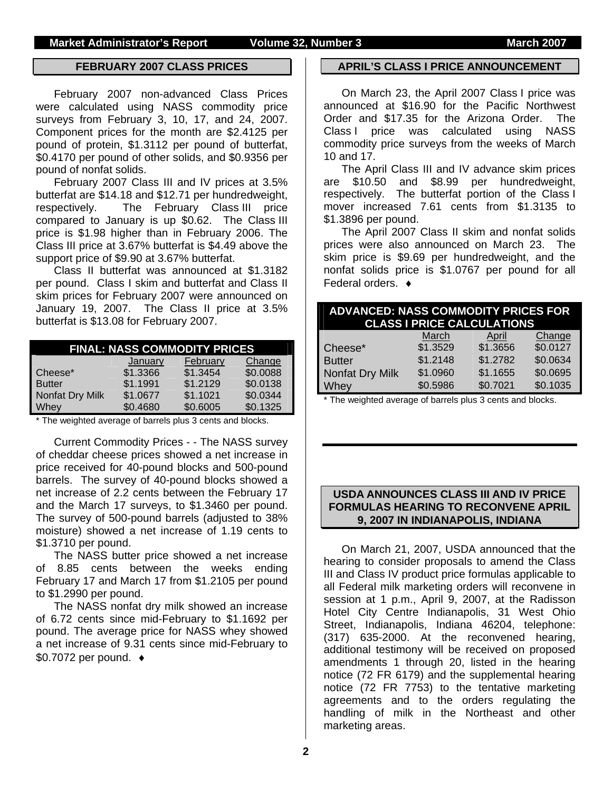#### **FEBRUARY 2007 CLASS PRICES**

February 2007 non-advanced Class Prices were calculated using NASS commodity price surveys from February 3, 10, 17, and 24, 2007. Component prices for the month are \$2.4125 per pound of protein, \$1.3112 per pound of butterfat, \$0.4170 per pound of other solids, and \$0.9356 per pound of nonfat solids.

February 2007 Class III and IV prices at 3.5% butterfat are \$14.18 and \$12.71 per hundredweight, respectively. The February Class III price compared to January is up \$0.62. The Class III price is \$1.98 higher than in February 2006. The Class III price at 3.67% butterfat is \$4.49 above the support price of \$9.90 at 3.67% butterfat.

Class II butterfat was announced at \$1.3182 per pound. Class I skim and butterfat and Class II skim prices for February 2007 were announced on January 19, 2007. The Class II price at 3.5% butterfat is \$13.08 for February 2007.

|                 |          | <b>FINAL: NASS COMMODITY PRICES</b> |          |
|-----------------|----------|-------------------------------------|----------|
|                 | January  | February                            | Change   |
| Cheese*         | \$1.3366 | \$1.3454                            | \$0.0088 |
| <b>Butter</b>   | \$1.1991 | \$1.2129                            | \$0.0138 |
| Nonfat Dry Milk | \$1.0677 | \$1.1021                            | \$0.0344 |
| Whey            | \$0.4680 | \$0.6005                            | \$0.1325 |

\* The weighted average of barrels plus 3 cents and blocks.

Current Commodity Prices - - The NASS survey of cheddar cheese prices showed a net increase in price received for 40-pound blocks and 500-pound barrels. The survey of 40-pound blocks showed a net increase of 2.2 cents between the February 17 and the March 17 surveys, to \$1.3460 per pound. The survey of 500-pound barrels (adjusted to 38% moisture) showed a net increase of 1.19 cents to \$1.3710 per pound.

The NASS butter price showed a net increase of 8.85 cents between the weeks ending February 17 and March 17 from \$1.2105 per pound to \$1.2990 per pound.

The NASS nonfat dry milk showed an increase of 6.72 cents since mid-February to \$1.1692 per pound. The average price for NASS whey showed a net increase of 9.31 cents since mid-February to \$0.7072 per pound. ♦

#### **APRIL'S CLASS I PRICE ANNOUNCEMENT**

On March 23, the April 2007 Class I price was announced at \$16.90 for the Pacific Northwest Order and \$17.35 for the Arizona Order. The Class I price was calculated using NASS commodity price surveys from the weeks of March 10 and 17.

The April Class III and IV advance skim prices are \$10.50 and \$8.99 per hundredweight, respectively. The butterfat portion of the Class I mover increased 7.61 cents from \$1.3135 to \$1.3896 per pound.

The April 2007 Class II skim and nonfat solids prices were also announced on March 23. The skim price is \$9.69 per hundredweight, and the nonfat solids price is \$1.0767 per pound for all Federal orders. ♦

| <b>ADVANCED: NASS COMMODITY PRICES FOR</b> | <b>CLASS I PRICE CALCULATIONS</b> |              |          |
|--------------------------------------------|-----------------------------------|--------------|----------|
|                                            | March                             | <b>April</b> | Change   |
| Cheese*                                    | \$1.3529                          | \$1.3656     | \$0.0127 |
| <b>Butter</b>                              | \$1.2148                          | \$1.2782     | \$0.0634 |
| Nonfat Dry Milk                            | \$1.0960                          | \$1.1655     | \$0.0695 |
| Whey                                       | \$0.5986                          | \$0.7021     | \$0.1035 |

\* The weighted average of barrels plus 3 cents and blocks.

#### **USDA ANNOUNCES CLASS III AND IV PRICE FORMULAS HEARING TO RECONVENE APRIL 9, 2007 IN INDIANAPOLIS, INDIANA**

On March 21, 2007, USDA announced that the hearing to consider proposals to amend the Class III and Class IV product price formulas applicable to all Federal milk marketing orders will reconvene in session at 1 p.m., April 9, 2007, at the Radisson Hotel City Centre Indianapolis, 31 West Ohio Street, Indianapolis, Indiana 46204, telephone: (317) 635-2000. At the reconvened hearing, additional testimony will be received on proposed amendments 1 through 20, listed in the hearing notice (72 FR 6179) and the supplemental hearing notice (72 FR 7753) to the tentative marketing agreements and to the orders regulating the handling of milk in the Northeast and other marketing areas.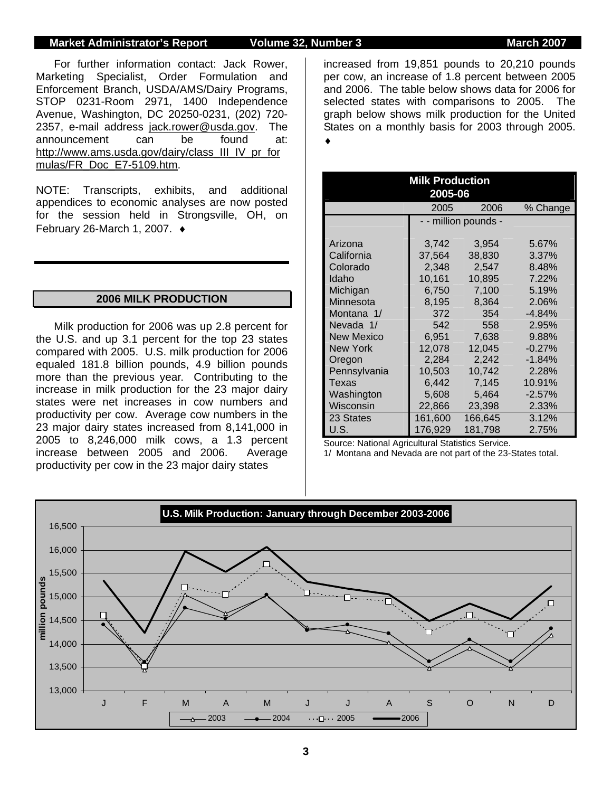#### **Market Administrator's Report 6 Volume 32, Number 3 March 2007 March 2007**

For further information contact: Jack Rower, Marketing Specialist, Order Formulation and Enforcement Branch, USDA/AMS/Dairy Programs, STOP 0231-Room 2971, 1400 Independence Avenue, Washington, DC 20250-0231, (202) 720- 2357, e-mail address jack.rower@usda.gov. The announcement can be found at: http://www.ams.usda.gov/dairy/class\_III\_IV\_pr\_for mulas/FR\_Doc\_E7-5109.htm.

NOTE: Transcripts, exhibits, and additional appendices to economic analyses are now posted for the session held in Strongsville, OH, on February 26-March 1, 2007. ♦

#### **2006 MILK PRODUCTION**

Milk production for 2006 was up 2.8 percent for the U.S. and up 3.1 percent for the top 23 states compared with 2005. U.S. milk production for 2006 equaled 181.8 billion pounds, 4.9 billion pounds more than the previous year. Contributing to the increase in milk production for the 23 major dairy states were net increases in cow numbers and productivity per cow. Average cow numbers in the 23 major dairy states increased from 8,141,000 in 2005 to 8,246,000 milk cows, a 1.3 percent increase between 2005 and 2006. Average productivity per cow in the 23 major dairy states

increased from 19,851 pounds to 20,210 pounds per cow, an increase of 1.8 percent between 2005 and 2006. The table below shows data for 2006 for selected states with comparisons to 2005. The graph below shows milk production for the United States on a monthly basis for 2003 through 2005. ♦

|                   | <b>Milk Production</b><br>2005-06 |                      |          |
|-------------------|-----------------------------------|----------------------|----------|
|                   | 2005                              | 2006                 | % Change |
|                   |                                   | - - million pounds - |          |
| Arizona           | 3,742                             | 3,954                | 5.67%    |
| California        | 37,564                            | 38,830               | 3.37%    |
| Colorado          | 2,348                             | 2,547                | 8.48%    |
| Idaho             | 10,161                            | 10,895               | 7.22%    |
| Michigan          | 6,750                             | 7,100                | 5.19%    |
| Minnesota         | 8,195                             | 8,364                | 2.06%    |
| Montana 1/        | 372                               | 354                  | $-4.84%$ |
| Nevada 1/         | 542                               | 558                  | 2.95%    |
| <b>New Mexico</b> | 6,951                             | 7,638                | 9.88%    |
| New York          | 12.078                            | 12,045               | $-0.27%$ |
| Oregon            | 2,284                             | 2,242                | $-1.84%$ |
| Pennsylvania      | 10,503                            | 10,742               | 2.28%    |
| Texas             | 6,442                             | 7,145                | 10.91%   |
| Washington        | 5,608                             | 5,464                | $-2.57%$ |
| Wisconsin         | 22,866                            | 23,398               | 2.33%    |
| 23 States         | 161,600                           | 166.645              | 3.12%    |
| U.S.              | 176,929                           | 181,798              | 2.75%    |

Source: National Agricultural Statistics Service.

1/ Montana and Nevada are not part of the 23-States total.

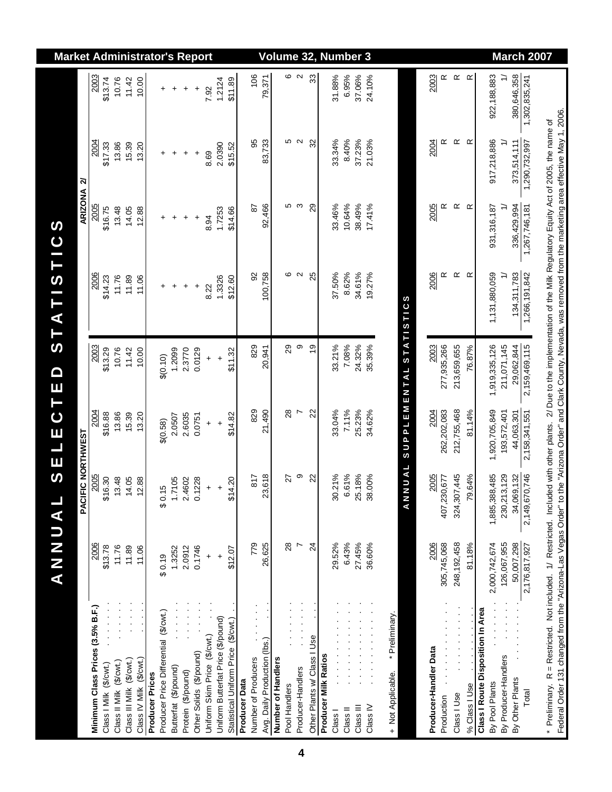|                                                                                                                                                                                                                                                                                                                                                         | ANNUA                       | <u>(၇</u>                      | ELEC                 | $\blacksquare$<br>T E   | <b>STATISTIC</b>  | S                    |                   |                   | <b>Market Administrator's Report</b> |
|---------------------------------------------------------------------------------------------------------------------------------------------------------------------------------------------------------------------------------------------------------------------------------------------------------------------------------------------------------|-----------------------------|--------------------------------|----------------------|-------------------------|-------------------|----------------------|-------------------|-------------------|--------------------------------------|
|                                                                                                                                                                                                                                                                                                                                                         |                             | PACIFIC NORTHWEST              |                      |                         |                   | ARIZONA <sub>2</sub> |                   |                   |                                      |
| Minimum Class Prices (3.5% B.F.)                                                                                                                                                                                                                                                                                                                        | 2006                        | 2005                           | 2004                 | 2003                    | 2006              | 2005                 | 2004              | 2003              |                                      |
| Class I Milk (\$/cwt.)                                                                                                                                                                                                                                                                                                                                  | \$13.78                     | 6.30<br>৯                      | \$16.88              | \$13.29                 | \$14.23           | \$16.75              | \$17.33           | \$13.74           |                                      |
| Class II Milk (\$/cwt.)                                                                                                                                                                                                                                                                                                                                 | 11.76                       | 3.48                           | 13.86                | 10.76                   | 11.76             | 13.48                | 13.86             | 10.76             |                                      |
| Class III Milk (\$/cwt.)                                                                                                                                                                                                                                                                                                                                | 11.89                       | 4.05<br>$\overline{ }$         | 15.39                | 11.42                   | 11.89             | 14.05                | 15.39             | 11.42             |                                      |
| Class IV Milk (\$/cwt.)                                                                                                                                                                                                                                                                                                                                 | 11.06                       | 2.88<br>$\overline{ }$         | 13.20                | 10.00                   | 11.06             | 12.88                | 13.20             | 10.00             |                                      |
| <b>Producer Prices</b>                                                                                                                                                                                                                                                                                                                                  |                             |                                |                      |                         |                   |                      |                   |                   |                                      |
| Producer Price Differential (\$/cwt.)                                                                                                                                                                                                                                                                                                                   | \$0.19                      | ပ<br>$\frac{1}{2}$             | \$(0.58)             | \$(0.10)                | +                 | +                    | +                 | +                 |                                      |
| Butterfat (\$/pound)                                                                                                                                                                                                                                                                                                                                    | 1.3252                      | 1.7105                         | 2.0507               | 1.2099                  | $\ddot{}$         | $\ddot{}$            | $\ddot{}$         | $\ddot{}$         |                                      |
| Protein (\$/pound)                                                                                                                                                                                                                                                                                                                                      | 2.0912                      | 2.4602                         | 2.6035               | 2.3770                  | $\ddot{}$         | $\ddot{}$            | $\ddot{}$         | $\ddot{}$         |                                      |
| Other Solids (\$/pound)                                                                                                                                                                                                                                                                                                                                 | 0.1746                      | <b>228</b><br>$\overline{c}$   | 0.0751               | 0.0129                  | $\ddot{}$         | $\ddot{}$            | $\ddot{}$         | $\ddot{}$         |                                      |
| Uniform Skim Price (\$/cwt.)                                                                                                                                                                                                                                                                                                                            | $\ddot{}$                   | $\ddot{}$                      | $\ddot{}$            | $\ddot{}$               | 8.22              | 8.94                 | 8.69              | 7.92              |                                      |
| Uniform Butterfat Price (\$/pound)                                                                                                                                                                                                                                                                                                                      | $\ddot{}$                   | $\ddot{}$                      | $\ddot{\phantom{1}}$ | $\ddot{}$               | 1.3326            | 1.7253               | 2.0390            | 1.2124            |                                      |
| Statistical Uniform Price (\$/cwt.)                                                                                                                                                                                                                                                                                                                     | \$12.07                     | 4.20<br>क्रं                   | \$14.82              | \$11.32                 | \$12.60           | \$14.66              | \$15.52           | \$11.89           |                                      |
| Producer Data                                                                                                                                                                                                                                                                                                                                           |                             |                                |                      |                         |                   |                      |                   |                   |                                      |
| Number of Producers                                                                                                                                                                                                                                                                                                                                     | 779                         | $\frac{8}{7}$                  | 829                  | 829                     | 92                | 2s                   | 56                | 106               |                                      |
| Avg. Daily Production (lbs.)                                                                                                                                                                                                                                                                                                                            | 26,625                      | 23,618                         | 21,490               | 20,941                  | 100,758           | 92,466               | 83,733            | 79,371            |                                      |
| Number of Handlers                                                                                                                                                                                                                                                                                                                                      |                             |                                |                      |                         |                   |                      |                   |                   |                                      |
| Pool Handlers                                                                                                                                                                                                                                                                                                                                           | $^{28}$                     | 27                             | 28                   | 29                      | ဖ                 | Ю                    | Ю                 | ဖ                 |                                      |
| Producer-Handlers                                                                                                                                                                                                                                                                                                                                       | Ņ                           | თ                              | Ņ                    | တ                       | $\mathbf{\Omega}$ | S                    | $\mathbf{\Omega}$ | $\mathbf{\Omega}$ |                                      |
| Other Plants w/ Class I Use                                                                                                                                                                                                                                                                                                                             | $\overline{2}$              | 22                             | 22                   | $\frac{0}{2}$           | 25                | 29                   | 32                | 33                | Volume 32, Number 3                  |
| <b>Producer Milk Ratios</b>                                                                                                                                                                                                                                                                                                                             |                             |                                |                      |                         |                   |                      |                   |                   |                                      |
| Class I                                                                                                                                                                                                                                                                                                                                                 | 29.52%                      | .21%<br>80.                    | 33.04%               | 33.21%                  | 37.50%            | 33.46%               | 33.34%            | 31.88%            |                                      |
| Class II                                                                                                                                                                                                                                                                                                                                                | 6.43%                       | .61%<br>$\circ$                | 7.11%                | 7.08%                   | 8.62%             | 10.64%               | 8.40%             | 6.95%             |                                      |
| Class III                                                                                                                                                                                                                                                                                                                                               | 27.45%                      | 25.18%                         | 25.23%               | 24.32%                  | 34.61%            | 38.49%               | 37.23%            | 37.06%            |                                      |
| Class IV                                                                                                                                                                                                                                                                                                                                                | 36.60%                      | 38.00%                         | 34.62%               | 35.39%                  | 19.27%            | 17.41%               | 21.03%            | 24.10%            |                                      |
|                                                                                                                                                                                                                                                                                                                                                         |                             |                                |                      |                         |                   |                      |                   |                   |                                      |
| * Preliminary.<br>+ Not Applicable.                                                                                                                                                                                                                                                                                                                     |                             |                                |                      |                         |                   |                      |                   |                   |                                      |
|                                                                                                                                                                                                                                                                                                                                                         |                             | <b>UNUAL</b><br>$\overline{z}$ |                      | SUPPLEMENTAL STATISTICS |                   |                      |                   |                   |                                      |
|                                                                                                                                                                                                                                                                                                                                                         |                             |                                |                      |                         |                   |                      |                   |                   |                                      |
| Producer-Handler Data<br>Production                                                                                                                                                                                                                                                                                                                     | 305,745,068<br>2006         | 2005<br>407,230,677            | 262,202,083<br>2004  | 2003<br>277,935,266     | 2006<br>$\propto$ | 2005<br>œ            | 2004<br>œ         | 2003<br>œ         |                                      |
| Class I Use                                                                                                                                                                                                                                                                                                                                             | 248, 192, 458               | 324,307,445                    | 212,755,468          | 213,659,655             | $\propto$         | $\simeq$             | $\propto$         | $\propto$         |                                      |
| .<br>% Class I Use                                                                                                                                                                                                                                                                                                                                      | 81.18%                      | 64%<br>P.                      | 81.14%               | 76.87%                  | $\propto$         | œ                    | $\alpha$          | $\propto$         |                                      |
| Class I Route Disposition In Area                                                                                                                                                                                                                                                                                                                       |                             |                                |                      |                         |                   |                      |                   |                   |                                      |
| By Pool Plants                                                                                                                                                                                                                                                                                                                                          | 2,000,742,674               | 1,885,388,485                  | 1,920,705,849        | 1,919,335,126           | 1,131,880,059     | 931, 316, 187        | 917,218,886       | 922, 188, 883     |                                      |
| By Producer-Handlers                                                                                                                                                                                                                                                                                                                                    | 126,067,955                 | 230,213,129                    | 193,572,401          | 211,071,145             | ≓                 | ≓                    |                   | ≓                 |                                      |
| By Other Plants                                                                                                                                                                                                                                                                                                                                         | 50,007,298<br>2,176,817,927 | 34,069,132                     | 44,063,301           | 29,062,844              | 134,311,783       | 336,429,994          | 373,514,111       | 380,646,358       |                                      |
| Total                                                                                                                                                                                                                                                                                                                                                   |                             | 2,149,670,746                  | 2,158,341,551        | 2,159,469,115           | 1,266,191,842     | 1,267,746,181        | 1,290,732,997     | 1,302,835,241     | <b>March 2007</b>                    |
|                                                                                                                                                                                                                                                                                                                                                         |                             |                                |                      |                         |                   |                      |                   |                   |                                      |
| Federal Order 131 changed from the "Arizona-Las Vegas Order" to the "Arizona Order" and Clark County, Nevada, was removed from the marketing area effective May 1, 2006.<br>* Preliminary. R = Restricted. Not included. 1/ Restricted. Included with other plants. 2/ Due to the implementation of the Milk Regulatory Equity Act of 2005, the name of |                             |                                |                      |                         |                   |                      |                   |                   |                                      |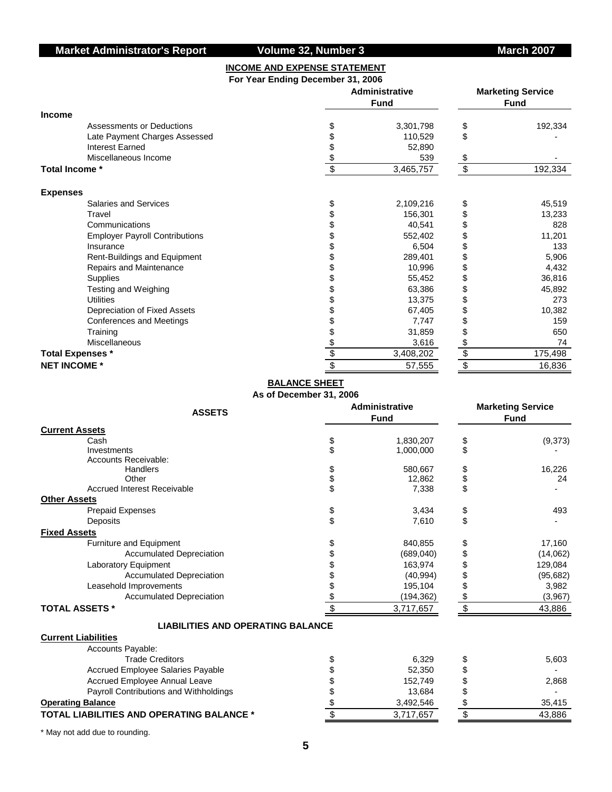#### **INCOME AND EXPENSE STATEMENT For Year Ending December 31, 2006**

|                                       | Administrative | <b>Marketing Service</b><br><b>Fund</b> |                           |         |  |  |
|---------------------------------------|----------------|-----------------------------------------|---------------------------|---------|--|--|
| Income                                |                |                                         |                           |         |  |  |
| Assessments or Deductions             | Ъ              | 3,301,798                               | \$                        | 192,334 |  |  |
| Late Payment Charges Assessed         |                | 110,529                                 | \$                        |         |  |  |
| <b>Interest Earned</b>                |                | 52,890                                  |                           |         |  |  |
| Miscellaneous Income                  |                | 539                                     | \$                        |         |  |  |
| Total Income *                        | \$             | 3,465,757                               | $\boldsymbol{\mathsf{S}}$ | 192,334 |  |  |
| <b>Expenses</b>                       |                |                                         |                           |         |  |  |
| Salaries and Services                 | S              | 2,109,216                               |                           | 45,519  |  |  |
| Travel                                |                | 156,301                                 |                           | 13,233  |  |  |
| Communications                        |                | 40,541                                  |                           | 828     |  |  |
| <b>Employer Payroll Contributions</b> |                | 552,402                                 |                           | 11,201  |  |  |
| Insurance                             |                | 6,504                                   |                           | 133     |  |  |
| Rent-Buildings and Equipment          |                | 289,401                                 |                           | 5,906   |  |  |
| Repairs and Maintenance               |                | 10,996                                  |                           | 4,432   |  |  |
| Supplies                              |                | 55,452                                  |                           | 36,816  |  |  |
| Testing and Weighing                  |                | 63,386                                  |                           | 45,892  |  |  |
| <b>Utilities</b>                      |                | 13,375                                  |                           | 273     |  |  |
| Depreciation of Fixed Assets          |                | 67,405                                  |                           | 10,382  |  |  |
| <b>Conferences and Meetings</b>       |                | 7,747                                   |                           | 159     |  |  |
| Training                              |                | 31,859                                  |                           | 650     |  |  |
| Miscellaneous                         | \$             | 3,616                                   | \$                        | 74      |  |  |
| <b>Total Expenses *</b>               | \$             | 3,408,202                               | \$                        | 175,498 |  |  |
| <b>NET INCOME *</b>                   | \$             | 57,555                                  | \$                        | 16,836  |  |  |

### **BALANCE SHEET**

**As of December 31, 2006**

| <b>ASSETS</b>                                    | <b>Administrative</b><br><b>Fund</b> | <b>Marketing Service</b><br><b>Fund</b> |           |  |  |  |  |
|--------------------------------------------------|--------------------------------------|-----------------------------------------|-----------|--|--|--|--|
| <b>Current Assets</b>                            |                                      |                                         |           |  |  |  |  |
| Cash                                             | \$<br>1,830,207                      | \$                                      | (9,373)   |  |  |  |  |
| Investments                                      | \$<br>1,000,000                      | \$                                      |           |  |  |  |  |
| Accounts Receivable:                             |                                      |                                         |           |  |  |  |  |
| Handlers                                         | 580,667                              | \$                                      | 16,226    |  |  |  |  |
| Other                                            | \$<br>12,862                         | \$                                      | 24        |  |  |  |  |
| <b>Accrued Interest Receivable</b>               | \$<br>7,338                          | \$                                      |           |  |  |  |  |
| <b>Other Assets</b>                              |                                      |                                         |           |  |  |  |  |
| <b>Prepaid Expenses</b>                          | \$<br>3,434                          | \$                                      | 493       |  |  |  |  |
| Deposits                                         | \$<br>7,610                          | \$                                      |           |  |  |  |  |
| <b>Fixed Assets</b>                              |                                      |                                         |           |  |  |  |  |
| Furniture and Equipment                          | 840.855                              | \$                                      | 17,160    |  |  |  |  |
| <b>Accumulated Depreciation</b>                  | (689,040)                            | \$                                      | (14,062)  |  |  |  |  |
| Laboratory Equipment                             | 163,974                              |                                         | 129,084   |  |  |  |  |
| <b>Accumulated Depreciation</b>                  | (40, 994)                            |                                         | (95, 682) |  |  |  |  |
| Leasehold Improvements                           | 195,104                              |                                         | 3,982     |  |  |  |  |
| <b>Accumulated Depreciation</b>                  | \$<br>(194, 362)                     | \$                                      | (3,967)   |  |  |  |  |
| <b>TOTAL ASSETS *</b>                            | \$<br>3,717,657                      | \$                                      | 43,886    |  |  |  |  |
| <b>LIABILITIES AND OPERATING BALANCE</b>         |                                      |                                         |           |  |  |  |  |
| <b>Current Liabilities</b>                       |                                      |                                         |           |  |  |  |  |
| Accounts Payable:                                |                                      |                                         |           |  |  |  |  |
| <b>Trade Creditors</b>                           | \$<br>6,329                          | \$                                      | 5,603     |  |  |  |  |
| Accrued Employee Salaries Payable                | 52,350                               | \$                                      |           |  |  |  |  |
| Accrued Employee Annual Leave                    | 152,749                              |                                         | 2,868     |  |  |  |  |
| Payroll Contributions and Withholdings           | 13,684                               |                                         |           |  |  |  |  |
| <b>Operating Balance</b>                         | \$<br>3,492,546                      | \$                                      | 35,415    |  |  |  |  |
| <b>TOTAL LIABILITIES AND OPERATING BALANCE *</b> | \$<br>3,717,657                      | $\sqrt[6]{\frac{1}{2}}$                 | 43,886    |  |  |  |  |

\* May not add due to rounding.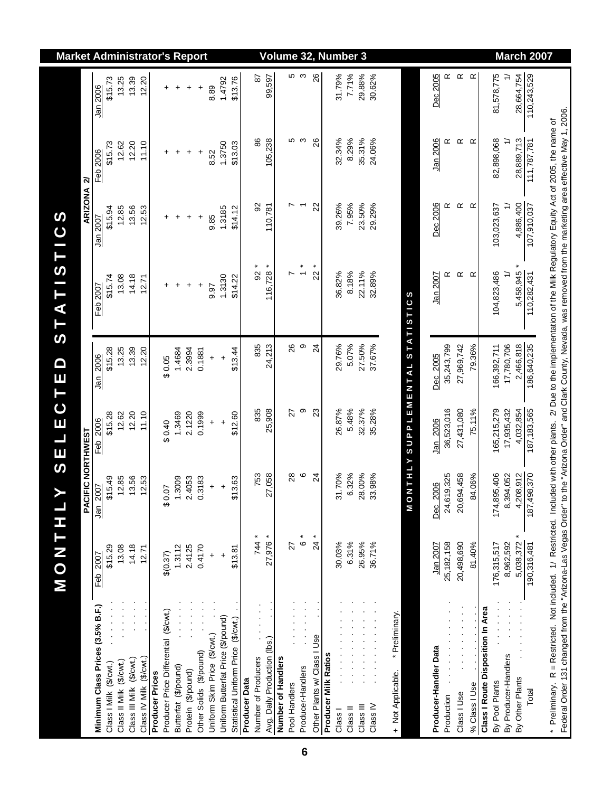|                                                                                                                                                                                                                                                                                                                                                         | M O N T H              | (J                     | ELECT                  | $\blacksquare$<br>$\mathbf{u}$       | STATISTICS          |                      |                     |                     | <b>Market Administrator's Report</b> |
|---------------------------------------------------------------------------------------------------------------------------------------------------------------------------------------------------------------------------------------------------------------------------------------------------------------------------------------------------------|------------------------|------------------------|------------------------|--------------------------------------|---------------------|----------------------|---------------------|---------------------|--------------------------------------|
|                                                                                                                                                                                                                                                                                                                                                         |                        | PACIFIC NORTHWEST      |                        |                                      |                     | ARIZONA <sub>2</sub> |                     |                     |                                      |
| Minimum Class Prices (3.5% B.F.)                                                                                                                                                                                                                                                                                                                        | \$15.29<br>Feb 2007    | \$15.49<br>Jan 2007    | \$15.28<br>Feb 2006    | \$15.28<br>Jan 2006                  | \$15.74<br>Feb 2007 | \$15.94<br>Jan 2007  | \$15.73<br>Feb 2006 | \$15.73<br>Jan 2006 |                                      |
| Class II Milk (\$/cwt.)<br>Class I Milk (\$/cwt.)                                                                                                                                                                                                                                                                                                       | 13.08                  | 12.85                  | 12.62                  | 13.25                                | 13.08               | 12.85                | 12.62               | 13.25               |                                      |
| Class III Milk (\$/cwt.)                                                                                                                                                                                                                                                                                                                                | 14.18                  | 13.56                  | 12.20                  | 13.39                                | 14.18               | 13.56                | 12.20               | 13.39               |                                      |
| Class IV Milk (\$/cwt.)                                                                                                                                                                                                                                                                                                                                 | 12.71                  | <b>2.53</b>            | 11.10                  | 12.20                                | 12.71               | 12.53                | 11.10               | 12.20               |                                      |
| <b>Producer Prices</b>                                                                                                                                                                                                                                                                                                                                  |                        |                        |                        |                                      |                     |                      |                     |                     |                                      |
| Producer Price Differential (\$/cwt.)                                                                                                                                                                                                                                                                                                                   | \$(0.37)               | \$0.07                 | 0.40                   | \$0.05                               | +                   | +                    | +                   | +                   |                                      |
| Butterfat (\$/pound)                                                                                                                                                                                                                                                                                                                                    | 1.3112                 | 1.3009                 | 1.3469                 | 1.4684                               | $\ddot{}$           | $\ddot{}$            | $\ddot{}$           | $\ddot{}$           |                                      |
| Protein (\$/pound)                                                                                                                                                                                                                                                                                                                                      | 2.4125                 | 2.4053                 | 2.1220                 | 2.3994                               | $\ddot{}$           | $\ddot{}$            | $\ddot{}$           | $\ddot{}$           |                                      |
| Other Solids (\$/pound)                                                                                                                                                                                                                                                                                                                                 | 0.4170                 | 0.3183                 | 0.1999                 | 0.1881                               | $\ddot{}$           | ÷                    | +                   | +                   |                                      |
| Uniform Skim Price (\$/cwt.)                                                                                                                                                                                                                                                                                                                            | $\ddot{}$              | $\ddot{}$              | $\ddot{}$              | $\ddot{}$                            | 9.97                | 9.85                 | 8.52                | 8.89                |                                      |
| Uniform Butterfat Price (\$/pound)                                                                                                                                                                                                                                                                                                                      | $\ddot{}$              | $\ddot{}$              | $\ddot{}$              | $\ddot{}$                            | 1.3130              | 1.3185               | 1.3750              | 1.4792              |                                      |
| Statistical Uniform Price (\$/cwt.)                                                                                                                                                                                                                                                                                                                     | \$13.81                | \$13.63                | \$12.60                | \$13.44                              | \$14.22             | \$14.12              | \$13.03             | \$13.76             |                                      |
| Producer Data                                                                                                                                                                                                                                                                                                                                           |                        |                        |                        |                                      |                     |                      |                     |                     |                                      |
| Number of Producers                                                                                                                                                                                                                                                                                                                                     | 744 *                  | 753                    | 835                    | 835                                  | $92*$               | 8                    | 86                  | 29                  |                                      |
| Avg. Daily Production (lbs.)                                                                                                                                                                                                                                                                                                                            | 27,976 *               | 27,058                 | 25,908                 | 24,213                               | $116,728$ *         | 110,781              | 105,238             | 99,597              |                                      |
| Number of Handlers                                                                                                                                                                                                                                                                                                                                      |                        |                        |                        |                                      |                     |                      |                     |                     | Volume                               |
| Pool Handlers                                                                                                                                                                                                                                                                                                                                           | 27                     | 28                     | 27                     | 26                                   | N                   |                      | Ю                   |                     |                                      |
| Producer-Handlers                                                                                                                                                                                                                                                                                                                                       | $\overset{*}{\circ}$   | $\circ$                | თ                      | $\circ$                              | $\ddot{\cdot}$      | $\overline{ }$       | S                   | ნ დ                 |                                      |
| Other Plants w/ Class I Use                                                                                                                                                                                                                                                                                                                             | $\overline{24}$        | $\overline{2}$         | 23                     | $\overline{2}$                       | $22 *$              | 22                   | 26                  | 26                  | 32, Number 3                         |
| <b>Producer Milk Ratios</b>                                                                                                                                                                                                                                                                                                                             |                        |                        |                        |                                      |                     |                      |                     |                     |                                      |
| Class I                                                                                                                                                                                                                                                                                                                                                 | 30.03%                 | 31.70%                 | 26.87%                 | 29.76%                               | 36.82%              | 39.26%               | 32.34%              | 31.79%              |                                      |
| Class II                                                                                                                                                                                                                                                                                                                                                | 6.31%                  | 32%<br>$\circ$         | 5.48%                  | 5.07%                                | 8.18%               | 7.95%                | 8.29%               | 7.71%               |                                      |
| Class III                                                                                                                                                                                                                                                                                                                                               | 26.95%                 | .00%<br>28             | 32.37%                 | 27.50%                               | 22.11%              | 23.50%               | 35.31%              | 29.88%              |                                      |
| Class <sub>IV</sub>                                                                                                                                                                                                                                                                                                                                     | 36.71%                 | .98%<br>33             | 35.28%                 | 37.67%                               | 32.89%              | 29.29%               | 24.06%              | 30.62%              |                                      |
|                                                                                                                                                                                                                                                                                                                                                         |                        |                        |                        |                                      |                     |                      |                     |                     |                                      |
| * Preliminary.<br>+ Not Applicable.                                                                                                                                                                                                                                                                                                                     |                        |                        |                        |                                      |                     |                      |                     |                     |                                      |
|                                                                                                                                                                                                                                                                                                                                                         |                        | $\frac{1}{2}$          |                        | <b>NTHLY SUPPLEMENTAL STATISTICS</b> |                     |                      |                     |                     |                                      |
|                                                                                                                                                                                                                                                                                                                                                         |                        |                        |                        |                                      |                     |                      |                     |                     |                                      |
| Producer-Handler Data                                                                                                                                                                                                                                                                                                                                   | 25,182,158<br>Jan 2007 | 24,619,325<br>Dec 2006 | 36,523,016<br>Jan 2006 | 35,243,799<br>Dec 2005               | œ<br>Jan 2007       | Dec 2006<br>≃        | Jan 2006<br>œ       | ĸ<br>Dec 2005       |                                      |
| Production<br>Class I Use                                                                                                                                                                                                                                                                                                                               | 20,498,690             | 20,694,458             | 27,431,080             | 27,969,742                           | $\propto$           | $\propto$            | $\propto$           | $\propto$           |                                      |
|                                                                                                                                                                                                                                                                                                                                                         |                        |                        |                        |                                      |                     |                      |                     |                     |                                      |
| % Class I Use                                                                                                                                                                                                                                                                                                                                           | 81.40%                 | 1.06%<br>\$            | 75.11%                 | 79.36%                               | $\alpha$            | $\alpha$             | $\alpha$            | $\propto$           |                                      |
| Class I Route Disposition In Area<br>By Pool Plants                                                                                                                                                                                                                                                                                                     | 176,315,517            | 174,895,406            | 165,215,279            | 166,392,711                          | 104,823,486         | 103,023,637          | 82,898,068          | 81,578,775          |                                      |
| By Producer-Handlers                                                                                                                                                                                                                                                                                                                                    | 8,962,592              | 8,394,052              | 17,935,432             | 17,780,706                           | $\tilde{t}$         |                      | $\cong$             | $\tilde{}$          |                                      |
| $\frac{1}{2}$ , $\frac{1}{2}$ , $\frac{1}{2}$ , $\frac{1}{2}$ , $\frac{1}{2}$ , $\frac{1}{2}$<br>$\ddot{\cdot}$<br>By Other Plants                                                                                                                                                                                                                      | ×<br>5,038,372         | 4,208,912              | 4,032,854              | 2,466,818                            | 5,458,945 *         | 4,886,400            | 28,889,713          | 28,664,754          |                                      |
| Total                                                                                                                                                                                                                                                                                                                                                   | 190,316,481            | 187,498,370            | 187, 183, 565          | 186,640,235                          | 110,282,431         | 107,910,037          | 111,787,781         | 110,243,529         |                                      |
|                                                                                                                                                                                                                                                                                                                                                         |                        |                        |                        |                                      |                     |                      |                     |                     | March 2007                           |
| Federal Order 131 changed from the "Arizona-Las Vegas Order" to the "Arizona Order" and Clark County, Nevada, was removed from the marketing area effective May 1, 2006.<br>* Preliminary. R = Restricted. Not included. 1/ Restricted. Included with other plants. 2/ Due to the implementation of the Milk Regulatory Equity Act of 2005, the name of |                        |                        |                        |                                      |                     |                      |                     |                     |                                      |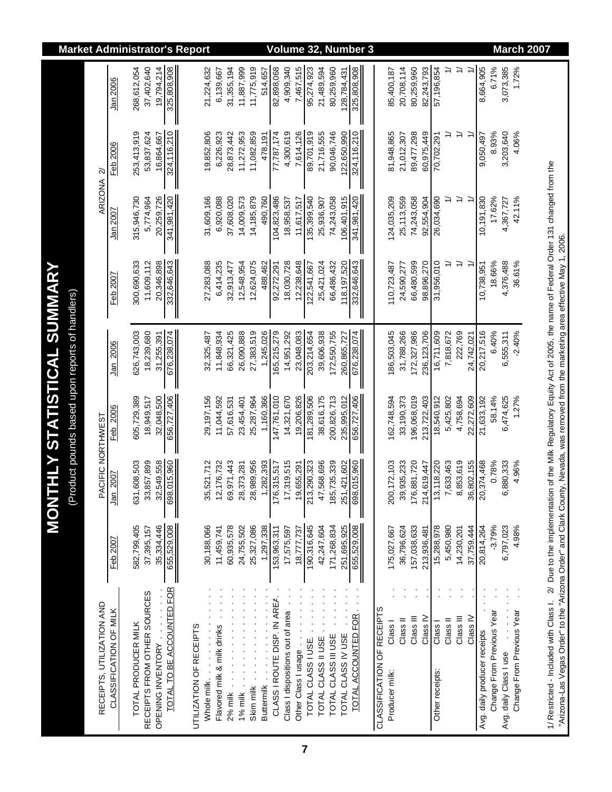| <b>Market Administrator's Report</b>                                               |                           |                        |                     |                             |                                                |                         |              |                             |                    |                  |                                             |                            |                              | Volume 32,                       |                     |                    |                     |                     |                    | <b>Number 3</b>      |                            |                           |                                  |                     |                                      |                     |               |                     |                              |                           |                        |                           | <b>March 2007</b> |                                                                                                                                                                                                                                                                                                       |
|------------------------------------------------------------------------------------|---------------------------|------------------------|---------------------|-----------------------------|------------------------------------------------|-------------------------|--------------|-----------------------------|--------------------|------------------|---------------------------------------------|----------------------------|------------------------------|----------------------------------|---------------------|--------------------|---------------------|---------------------|--------------------|----------------------|----------------------------|---------------------------|----------------------------------|---------------------|--------------------------------------|---------------------|---------------|---------------------|------------------------------|---------------------------|------------------------|---------------------------|-------------------|-------------------------------------------------------------------------------------------------------------------------------------------------------------------------------------------------------------------------------------------------------------------------------------------------------|
|                                                                                    |                           | Jan 2006               | 268,612,054         | 37,402,640                  | 325,808,908<br>19,794,214                      |                         | 21,224,632   | 6,139,667                   | 31,355,194         | 11,887,999       | 11,775,919                                  | 514,657                    | 82,898,068                   | 4,909,340                        | 7,467,515           | 95,274,923         | 21,489,594          | 80,259,960          | 128,784,431        | 325,808,908          |                            | 85,400,187                | 80,259,960<br>20,708,114         | 82,243,793          | 57,196,854                           | ≓                   | $\Rightarrow$ | ≓                   | 8,664,905                    | 6.71%                     | 3,073,385              | 1.72%                     |                   |                                                                                                                                                                                                                                                                                                       |
|                                                                                    | $\approx$                 | Feb 2006               | 253,413,919         | 53,837,624                  | 324,116,210<br>16,864,667<br>II                |                         | 19,852,806   | 6,226,923                   | 28,873,442         | 11,272,953       | 11,082,859                                  | 478, 191                   | 77,787,174                   | 4,300,619                        | 7,614,126           | 89,701,919         | 21,716,555          | 90,046,746          | 122,650,990        | 324,116,210          |                            | 81,948,865                | 89,477,298<br>21,012,307         | 60,975,449          | 70,702,291                           | $\geq$              | $\Rightarrow$ |                     | 9,050,497                    | 8.93%                     | 3,203,640              | 4.06%                     |                   |                                                                                                                                                                                                                                                                                                       |
|                                                                                    | <b>ARIZONA</b>            | Jan 2007               | 315,946,730         | 5,774,964                   | 20,259,726<br>341,981,420                      |                         | 31,609,166   | 6,920,088                   | 37,608,020         | 14,009,573       | 14,185,879                                  | 490,760                    | 104,823,486                  | 18,958,537                       | 11,617,517          | 135,399,540        | 25,936,907          | 74,243,058          | 106,401,915        | 341,981,420          |                            | 124,035,209               | 25,113,559<br>74,243,058         | 92,554,904          | 26,034,690                           | ≓                   | $\Rightarrow$ | ≍                   | 10,191,830                   | 17.62%                    | 4,367,727              | 42.11%                    |                   |                                                                                                                                                                                                                                                                                                       |
|                                                                                    |                           | Feb 2007               | 300,690,633         | 11,609,112                  | 20,346,898<br>332,646,643                      |                         | 27,283,088   | 6,414,235                   | 32,913,477         | 12,548,954       | 12,624,075                                  | 488,462                    | 92,272,291                   | 18,030,728                       | 12,238,648          | 122,541,667        | 25,421,024          | 66,486,432          | 118, 197, 520      | 332,646,643          |                            | 110,723,487               | 66,480,599<br>24,590,277         | 98,896,270          | 31,956,010                           |                     | $\Rightarrow$ |                     | 10,738,951                   | 18.66%                    | 4,376,488              | 36.61%                    |                   |                                                                                                                                                                                                                                                                                                       |
| <b>THLY STATISTICAL SUMMARY</b><br>(Product pounds based upon reports of handlers) |                           | Jan 2006               | 626,743,003         | 18,239,680                  | 676,238,074<br>31,255,391                      |                         | 32, 325, 487 | 11,848,934                  | 66,321,425         | 26,090,888       | 27,383,519                                  | 1,245,026                  | 165,215,279                  | 14,951,292                       | 23,048,083          | 203,214,654        | 39,606,938          | 172,550,755         | 260,865,727        | 676,238,074          |                            | 186,503,045               | 31,788,266<br>172,327,986        | 236, 123, 706       | 16,711,609                           | 7,818,672           | 222,769       | 24,742,021          | 20,217,516                   | 6.40%                     | 6,555,311              | $-2.40%$                  |                   |                                                                                                                                                                                                                                                                                                       |
|                                                                                    |                           | Feb 2006               | 605,729,389         | 18,949,517                  | 32,048,500<br>656,727,406<br>Ш                 |                         | 29,197,156   | 11,044,592                  | 57,616,531         | 23,454,401       | 25,287,964                                  | 1,160,366                  | 147,761,010                  | 14,321,670                       | 19,206,826          | 181,289,506        | 38,616,175          | 200,826,713         | 235,995,012        | 656,727,406          |                            | 162,748,594               | 196,068,019<br>33,190,373        | 213,722,403         | 18,540,912                           | 5,425,802           | 4,758,694     | 22,272,609          | 21,633,192                   | 58.14%                    | 6,474,625              | 1.27%                     |                   |                                                                                                                                                                                                                                                                                                       |
| <b>MON'</b>                                                                        | PACIFIC NORTHWEST         | 2007<br>Jan            | 631,608,503         | 33,857,899                  | 32,549,558<br>698,015,960<br>II                |                         | 35,521,712   | 12,176,732                  | 69,971,443         | 28,373,281       | 28,989,956                                  | ,282,393<br>$\overline{ }$ | 176,315,517                  | 17,319,515                       | 19,655,291          | 213,290,323        | 47,568,696          | 185,735,339         | 251,421,602        | 698,015,960          |                            | 200, 172, 103             | 39,935,233<br>176,881,720        | 214,619,447         | 13,118,220                           | 7,633,463           | 8,853,619     | 36,802,155          | 20,374,468                   | 0.78%                     | 6,880,333              | 4.96%                     |                   |                                                                                                                                                                                                                                                                                                       |
|                                                                                    |                           | Feb 200 $\overline{0}$ | 582,799,405         | 37,395,157                  | 655,529,008<br>35,334,446                      |                         | 30,188,066   | 11,459,741                  | 60,935,578         | 24,755,502       | 25,327,086                                  | 1,297,338                  | 153,963,311                  | 17,575,597                       | 18,777,737          | 190,316,645        | 42,247,604          | 171,268,834         | 251,695,925        | 655,529,008          |                            | 175,027,667               | 36,796,624<br>157,038,633        | 213,936,481         | 15,288,978                           | 5,450,980           | 14,230,201    | 37,759,444          | 20,814,264                   | $-3.79%$                  | 6,797,023              | 4.98%                     |                   |                                                                                                                                                                                                                                                                                                       |
|                                                                                    | RECEIPTS, UTILIZATION AND | CLASSIFICATION OF MILK | TOTAL PRODUCER MILK | RECEIPTS FROM OTHER SOURCES | TOTAL TO BE ACCOUNTED FOR<br>OPENING INVENTORY | UTILIZATION OF RECEIPTS | Whole milk   | Flavored milk & milk drinks | $2%$ milk $\ldots$ | 1% milk $\ldots$ | $\frac{1}{2}$<br>$\frac{1}{2}$<br>Skim milk | Buttermilk                 | CLASS I ROUTE DISP. IN AREA. | Class I dispositions out of area | Other Class I usage | TOTAL CLASS I USE. | TOTAL CLASS II USE. | TOTAL CLASS III USE | TOTAL CLASS IV USE | TOTAL ACCOUNTED FOR. | CLASSIFICATION OF RECEIPTS | Class I<br>Producer milk: | Class III<br>Class <sup>II</sup> | Class <sub>IV</sub> | Class <sub>1</sub><br>Other receipts | Class <sub>II</sub> | Class III     | Class <sub>IV</sub> | Avg. daily producer receipts | Change From Previous Year | Avg. daily Class I use | Change From Previous Year |                   | 1/ Restricted - Included with Class I. 2/ Due to the implementation of the Milk Regulatory Equity Act of 2005, the name of Federal Order 131 changed from the<br>"Arizona-Las Vegas Order" to the "Arizona Order" and Clark County, Nevada, was removed from the marketing area effective May 1, 2006 |